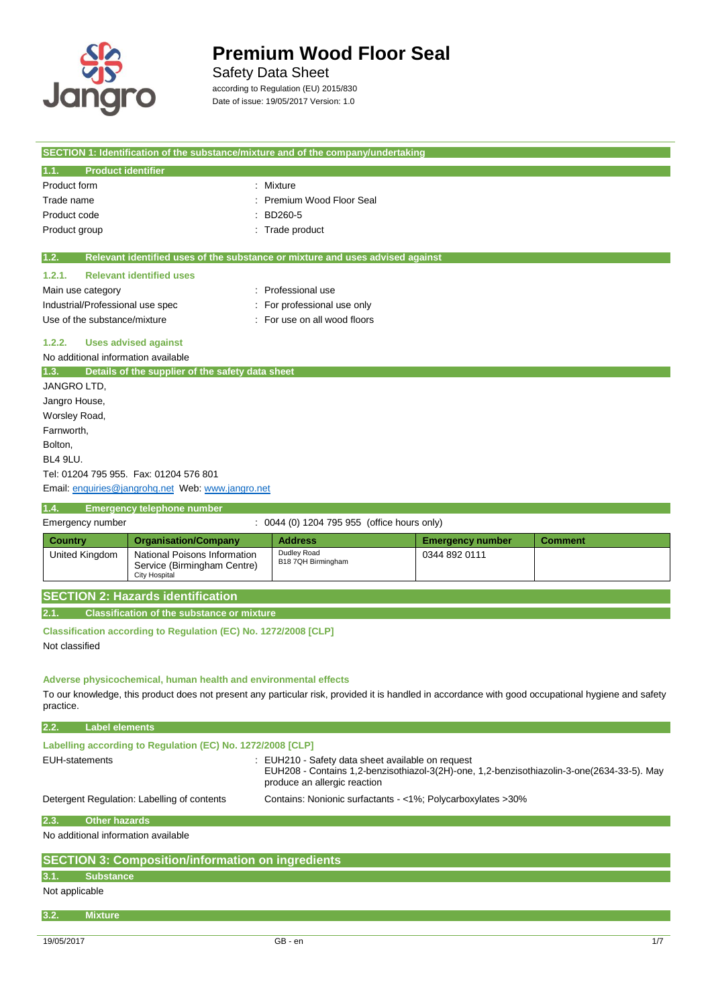

 $\overline{\phantom{a}}$ 

# **Premium Wood Floor Seal**

### Safety Data Sheet

according to Regulation (EU) 2015/830 Date of issue: 19/05/2017 Version: 1.0

| SECTION 1: Identification of the substance/mixture and of the company/undertaking                                                                                                                        |                                                             |                         |                |
|----------------------------------------------------------------------------------------------------------------------------------------------------------------------------------------------------------|-------------------------------------------------------------|-------------------------|----------------|
| <b>Product identifier</b><br>1.1.                                                                                                                                                                        |                                                             |                         |                |
| Product form                                                                                                                                                                                             | Mixture                                                     |                         |                |
| Trade name                                                                                                                                                                                               | Premium Wood Floor Seal                                     |                         |                |
| Product code                                                                                                                                                                                             | BD260-5                                                     |                         |                |
| Product group                                                                                                                                                                                            | Trade product                                               |                         |                |
| 1.2.<br>Relevant identified uses of the substance or mixture and uses advised against                                                                                                                    |                                                             |                         |                |
| <b>Relevant identified uses</b><br>1.2.1.                                                                                                                                                                |                                                             |                         |                |
| Main use category                                                                                                                                                                                        | : Professional use                                          |                         |                |
| Industrial/Professional use spec                                                                                                                                                                         | : For professional use only                                 |                         |                |
| Use of the substance/mixture                                                                                                                                                                             | : For use on all wood floors                                |                         |                |
| 1.2.2.<br><b>Uses advised against</b>                                                                                                                                                                    |                                                             |                         |                |
| No additional information available                                                                                                                                                                      |                                                             |                         |                |
| Details of the supplier of the safety data sheet<br>1.3.                                                                                                                                                 |                                                             |                         |                |
| JANGRO LTD,                                                                                                                                                                                              |                                                             |                         |                |
| Jangro House,                                                                                                                                                                                            |                                                             |                         |                |
| Worsley Road,                                                                                                                                                                                            |                                                             |                         |                |
| Farnworth,                                                                                                                                                                                               |                                                             |                         |                |
| Bolton,                                                                                                                                                                                                  |                                                             |                         |                |
| BL4 9LU.                                                                                                                                                                                                 |                                                             |                         |                |
| Tel: 01204 795 955. Fax: 01204 576 801                                                                                                                                                                   |                                                             |                         |                |
| Email: enquiries@jangrohq.net Web: www.jangro.net                                                                                                                                                        |                                                             |                         |                |
| <b>Emergency telephone number</b><br>1.4.                                                                                                                                                                |                                                             |                         |                |
| Emergency number                                                                                                                                                                                         | : 0044 (0) 1204 795 955 (office hours only)                 |                         |                |
| <b>Country</b><br><b>Organisation/Company</b>                                                                                                                                                            | <b>Address</b>                                              | <b>Emergency number</b> | <b>Comment</b> |
| National Poisons Information<br>United Kingdom<br>Service (Birmingham Centre)<br><b>City Hospital</b>                                                                                                    | Dudley Road<br>B18 7QH Birmingham                           | 0344 892 0111           |                |
| <b>SECTION 2: Hazards identification</b>                                                                                                                                                                 |                                                             |                         |                |
| <b>Classification of the substance or mixture</b><br>2.1.                                                                                                                                                |                                                             |                         |                |
|                                                                                                                                                                                                          |                                                             |                         |                |
| Classification according to Regulation (EC) No. 1272/2008 [CLP]<br>Not classified                                                                                                                        |                                                             |                         |                |
|                                                                                                                                                                                                          |                                                             |                         |                |
|                                                                                                                                                                                                          |                                                             |                         |                |
| Adverse physicochemical, human health and environmental effects                                                                                                                                          |                                                             |                         |                |
| To our knowledge, this product does not present any particular risk, provided it is handled in accordance with good occupational hygiene and safety<br>practice.                                         |                                                             |                         |                |
|                                                                                                                                                                                                          |                                                             |                         |                |
| 2.2.<br><b>Label elements</b>                                                                                                                                                                            |                                                             |                         |                |
| Labelling according to Regulation (EC) No. 1272/2008 [CLP]                                                                                                                                               |                                                             |                         |                |
| <b>EUH-statements</b><br>: EUH210 - Safety data sheet available on request<br>EUH208 - Contains 1,2-benzisothiazol-3(2H)-one, 1,2-benzisothiazolin-3-one(2634-33-5). May<br>produce an allergic reaction |                                                             |                         |                |
| Detergent Regulation: Labelling of contents                                                                                                                                                              | Contains: Nonionic surfactants - <1%; Polycarboxylates >30% |                         |                |
| <b>Other hazards</b><br>2.3.                                                                                                                                                                             |                                                             |                         |                |
| No additional information available                                                                                                                                                                      |                                                             |                         |                |
|                                                                                                                                                                                                          |                                                             |                         |                |
|                                                                                                                                                                                                          |                                                             |                         |                |
| <b>SECTION 3: Composition/information on ingredients</b><br>3.1.<br><b>Substance</b>                                                                                                                     |                                                             |                         |                |
| Not applicable                                                                                                                                                                                           |                                                             |                         |                |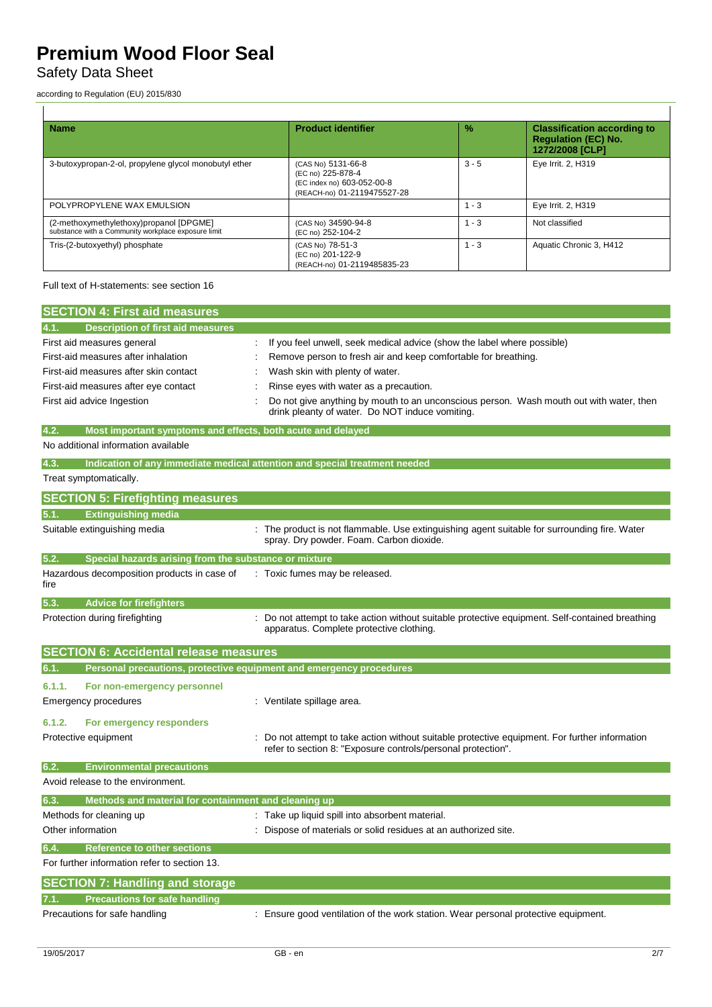## Safety Data Sheet

according to Regulation (EU) 2015/830

| <b>Name</b>                                                                                    | <b>Product identifier</b>                                                                            | $\%$    | <b>Classification according to</b><br><b>Regulation (EC) No.</b><br>1272/2008 [CLP] |
|------------------------------------------------------------------------------------------------|------------------------------------------------------------------------------------------------------|---------|-------------------------------------------------------------------------------------|
| 3-butoxypropan-2-ol, propylene glycol monobutyl ether                                          | (CAS No) 5131-66-8<br>(EC no) 225-878-4<br>(EC index no) 603-052-00-8<br>(REACH-no) 01-2119475527-28 | $3 - 5$ | Eye Irrit. 2, H319                                                                  |
| POLYPROPYLENE WAX EMULSION                                                                     |                                                                                                      | $1 - 3$ | Eye Irrit. 2, H319                                                                  |
| (2-methoxymethylethoxy)propanol [DPGME]<br>substance with a Community workplace exposure limit | (CAS No) 34590-94-8<br>(EC no) 252-104-2                                                             | $1 - 3$ | Not classified                                                                      |
| Tris-(2-butoxyethyl) phosphate                                                                 | (CAS No) 78-51-3<br>(EC no) 201-122-9<br>(REACH-no) 01-2119485835-23                                 | $1 - 3$ | Aquatic Chronic 3, H412                                                             |

Full text of H-statements: see section 16

| <b>SECTION 4: First aid measures</b>                                        |                                                                                                                                                              |
|-----------------------------------------------------------------------------|--------------------------------------------------------------------------------------------------------------------------------------------------------------|
| <b>Description of first aid measures</b>                                    |                                                                                                                                                              |
| First aid measures general                                                  | If you feel unwell, seek medical advice (show the label where possible)                                                                                      |
| First-aid measures after inhalation                                         | Remove person to fresh air and keep comfortable for breathing.                                                                                               |
| First-aid measures after skin contact                                       | Wash skin with plenty of water.                                                                                                                              |
| First-aid measures after eye contact                                        | Rinse eyes with water as a precaution.                                                                                                                       |
| First aid advice Ingestion                                                  | Do not give anything by mouth to an unconscious person. Wash mouth out with water, then<br>drink pleanty of water. Do NOT induce vomiting.                   |
| Most important symptoms and effects, both acute and delayed<br>4.2.         |                                                                                                                                                              |
| No additional information available                                         |                                                                                                                                                              |
| 4.3.                                                                        | Indication of any immediate medical attention and special treatment needed                                                                                   |
| Treat symptomatically.                                                      |                                                                                                                                                              |
| <b>SECTION 5: Firefighting measures</b>                                     |                                                                                                                                                              |
| <b>Extinguishing media</b><br>5.1.                                          |                                                                                                                                                              |
| Suitable extinguishing media                                                | The product is not flammable. Use extinguishing agent suitable for surrounding fire. Water<br>spray. Dry powder. Foam. Carbon dioxide.                       |
| 5.2.<br>Special hazards arising from the substance or mixture               |                                                                                                                                                              |
| Hazardous decomposition products in case of<br>fire                         | : Toxic fumes may be released.                                                                                                                               |
| <b>Advice for firefighters</b><br>5.3.                                      |                                                                                                                                                              |
| Protection during firefighting                                              | Do not attempt to take action without suitable protective equipment. Self-contained breathing<br>apparatus. Complete protective clothing.                    |
| <b>SECTION 6: Accidental release measures</b>                               |                                                                                                                                                              |
| Personal precautions, protective equipment and emergency procedures<br>6.1. |                                                                                                                                                              |
| 6.1.1.<br>For non-emergency personnel                                       |                                                                                                                                                              |
| <b>Emergency procedures</b>                                                 | : Ventilate spillage area.                                                                                                                                   |
|                                                                             |                                                                                                                                                              |
| 6.1.2.<br>For emergency responders<br>Protective equipment                  | Do not attempt to take action without suitable protective equipment. For further information<br>refer to section 8: "Exposure controls/personal protection". |
| <b>Environmental precautions</b><br>6.2.                                    |                                                                                                                                                              |
| Avoid release to the environment.                                           |                                                                                                                                                              |
| Methods and material for containment and cleaning up<br>6.3.                |                                                                                                                                                              |
| Methods for cleaning up                                                     | : Take up liquid spill into absorbent material.                                                                                                              |
| Other information                                                           | Dispose of materials or solid residues at an authorized site.                                                                                                |
| 6.4.<br><b>Reference to other sections</b>                                  |                                                                                                                                                              |
| For further information refer to section 13.                                |                                                                                                                                                              |
| <b>SECTION 7: Handling and storage</b>                                      |                                                                                                                                                              |
| <b>Precautions for safe handling</b>                                        |                                                                                                                                                              |
| Precautions for safe handling                                               | : Ensure good ventilation of the work station. Wear personal protective equipment.                                                                           |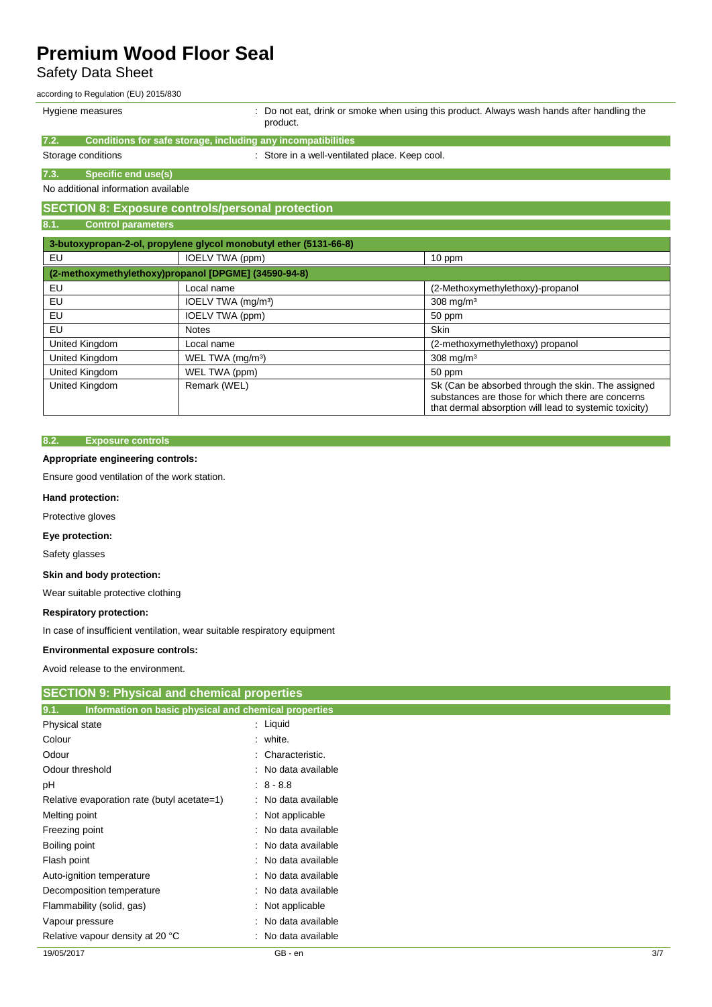### Safety Data Sheet

according to Regulation (EU) 2015/830

| Hygiene measures |  |
|------------------|--|
|------------------|--|

: Do not eat, drink or smoke when using this product. Always wash hands after handling the product.

> substances are those for which there are concerns that dermal absorption will lead to systemic toxicity)

|                                     | proguet.                                                          |                                  |
|-------------------------------------|-------------------------------------------------------------------|----------------------------------|
| 7.2.                                | Conditions for safe storage, including any incompatibilities      |                                  |
| Storage conditions                  | : Store in a well-ventilated place. Keep cool.                    |                                  |
| 7.3.<br>Specific end use(s)         |                                                                   |                                  |
| No additional information available |                                                                   |                                  |
|                                     | <b>SECTION 8: Exposure controls/personal protection</b>           |                                  |
| 8.1.<br><b>Control parameters</b>   |                                                                   |                                  |
|                                     | 3-butoxypropan-2-ol, propylene glycol monobutyl ether (5131-66-8) |                                  |
| EU                                  | IOELV TWA (ppm)                                                   | 10 ppm                           |
|                                     | (2-methoxymethylethoxy)propanol [DPGME] (34590-94-8)              |                                  |
| EU                                  | Local name                                                        | (2-Methoxymethylethoxy)-propanol |
| EU                                  | IOELV TWA (mg/m <sup>3</sup> )                                    | $308$ mg/m <sup>3</sup>          |
| EU                                  | IOELV TWA (ppm)                                                   | 50 ppm                           |
| EU                                  | <b>Notes</b>                                                      | Skin                             |
| United Kingdom                      | Local name                                                        | (2-methoxymethylethoxy) propanol |
| United Kingdom                      | WEL TWA (mg/m <sup>3</sup> )                                      | $308$ mg/m <sup>3</sup>          |
| United Kingdom                      | WEL TWA (ppm)                                                     | 50 ppm                           |

United Kingdom Remark (WEL) Remark (WEL) Sk (Can be absorbed through the skin. The assigned

### **8.2. Exposure controls**

### **Appropriate engineering controls:**

Ensure good ventilation of the work station.

#### **Hand protection:**

Protective gloves

**Eye protection:**

Safety glasses

### **Skin and body protection:**

Wear suitable protective clothing

#### **Respiratory protection:**

In case of insufficient ventilation, wear suitable respiratory equipment

### **Environmental exposure controls:**

Avoid release to the environment.

| <b>SECTION 9: Physical and chemical properties</b>            |                     |     |
|---------------------------------------------------------------|---------------------|-----|
| Information on basic physical and chemical properties<br>9.1. |                     |     |
| Physical state                                                | : Liquid            |     |
| Colour                                                        | $:$ white.          |     |
| Odour                                                         | : Characteristic.   |     |
| Odour threshold                                               | : No data available |     |
| рH                                                            | $8 - 8.8$           |     |
| Relative evaporation rate (butyl acetate=1)                   | : No data available |     |
| Melting point                                                 | : Not applicable    |     |
| Freezing point                                                | : No data available |     |
| Boiling point                                                 | : No data available |     |
| Flash point                                                   | : No data available |     |
| Auto-ignition temperature                                     | : No data available |     |
| Decomposition temperature                                     | : No data available |     |
| Flammability (solid, gas)                                     | : Not applicable    |     |
| Vapour pressure                                               | : No data available |     |
| Relative vapour density at 20 °C                              | : No data available |     |
| 19/05/2017                                                    | GB - en             | 3/7 |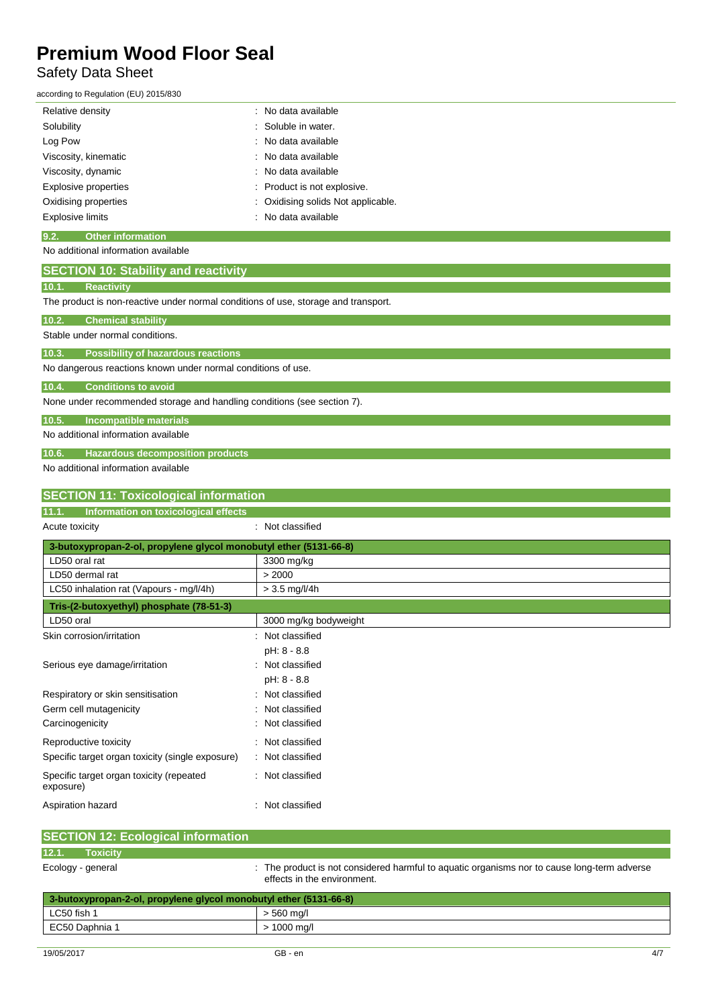### Safety Data Sheet

according to Regulation (EU) 2015/830

| Relative density                 | : No data available                |
|----------------------------------|------------------------------------|
| Solubility                       | : Soluble in water.                |
| Log Pow                          | : No data available                |
| Viscosity, kinematic             | : No data available                |
| Viscosity, dynamic               | : No data available                |
| Explosive properties             | : Product is not explosive.        |
| Oxidising properties             | : Oxidising solids Not applicable. |
| Explosive limits                 | : No data available                |
| 9.2.<br><b>Other information</b> |                                    |

No additional information available

|                                                                                    | <b>SECTION 10: Stability and reactivity</b> |  |
|------------------------------------------------------------------------------------|---------------------------------------------|--|
| 10.1.                                                                              | <b>Reactivity</b>                           |  |
| The product is non-reactive under normal conditions of use, storage and transport. |                                             |  |
| 10.2.                                                                              | <b>Chemical stability</b>                   |  |
| Stable under normal conditions.                                                    |                                             |  |
| 10.3.                                                                              | <b>Possibility of hazardous reactions</b>   |  |
| No dangerous reactions known under normal conditions of use.                       |                                             |  |
| 10.4.                                                                              | <b>Conditions to avoid</b>                  |  |

None under recommended storage and handling conditions (see section 7).

**10.5. Incompatible materials**

No additional information available

**10.6. Hazardous decomposition products**

No additional information available

| <b>SECTION 11: Toxicological information</b>                      |                       |  |
|-------------------------------------------------------------------|-----------------------|--|
| Information on toxicological effects<br>11.1.                     |                       |  |
| Acute toxicity                                                    | : Not classified      |  |
| 3-butoxypropan-2-ol, propylene glycol monobutyl ether (5131-66-8) |                       |  |
| LD50 oral rat                                                     | 3300 mg/kg            |  |
| LD50 dermal rat                                                   | > 2000                |  |
| LC50 inhalation rat (Vapours - mg/l/4h)                           | $> 3.5$ mg/l/4h       |  |
| Tris-(2-butoxyethyl) phosphate (78-51-3)                          |                       |  |
| LD50 oral                                                         | 3000 mg/kg bodyweight |  |
| Skin corrosion/irritation                                         | Not classified        |  |
|                                                                   | pH: 8 - 8.8           |  |
| Serious eye damage/irritation                                     | Not classified        |  |
|                                                                   | pH: 8 - 8.8           |  |
| Respiratory or skin sensitisation                                 | Not classified        |  |
| Germ cell mutagenicity                                            | Not classified        |  |
| Carcinogenicity                                                   | Not classified        |  |
| Reproductive toxicity                                             | Not classified        |  |
| Specific target organ toxicity (single exposure)                  | : Not classified      |  |
| Specific target organ toxicity (repeated<br>exposure)             | : Not classified      |  |
| Aspiration hazard                                                 | Not classified        |  |

| <b>SECTION 12: Ecological information</b>                         |                                                                                                                            |
|-------------------------------------------------------------------|----------------------------------------------------------------------------------------------------------------------------|
| 12.1.<br><b>Toxicity</b>                                          |                                                                                                                            |
| Ecology - general                                                 | : The product is not considered harmful to aquatic organisms nor to cause long-term adverse<br>effects in the environment. |
| 3-butoxypropan-2-ol, propylene glycol monobutyl ether (5131-66-8) |                                                                                                                            |
| LC50 fish 1                                                       | $> 560$ mg/l                                                                                                               |
| EC50 Daphnia 1                                                    | $> 1000$ mg/l                                                                                                              |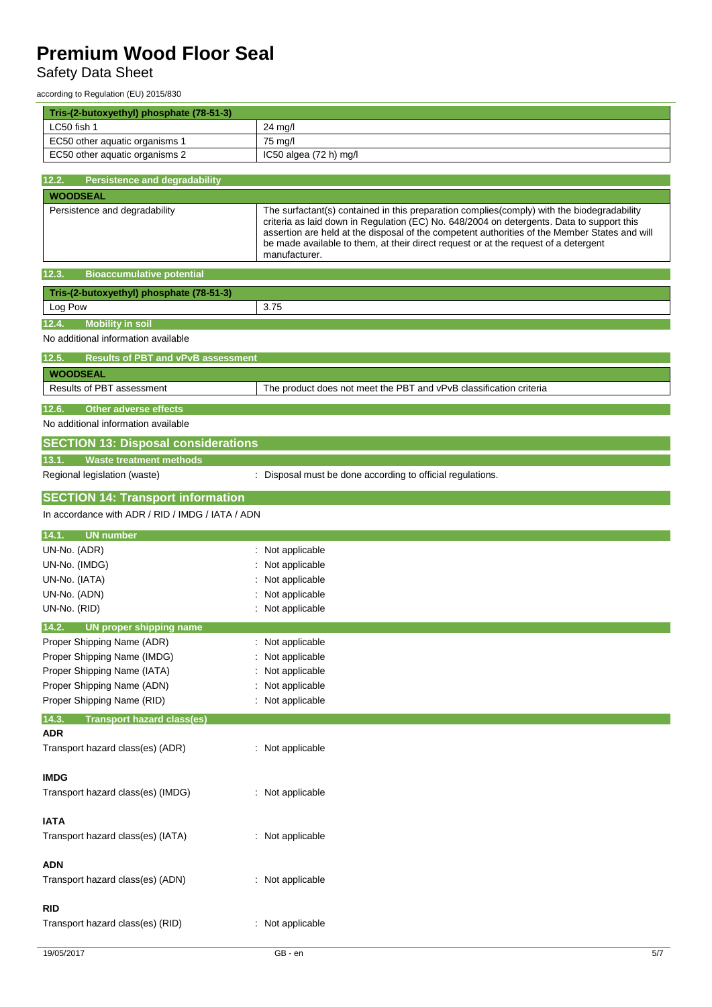# Safety Data Sheet

according to Regulation (EU) 2015/830

| Tris-(2-butoxyethyl) phosphate (78-51-3)                   |                                                                                                                                                                                      |
|------------------------------------------------------------|--------------------------------------------------------------------------------------------------------------------------------------------------------------------------------------|
| LC50 fish 1                                                | 24 mg/l                                                                                                                                                                              |
| EC50 other aquatic organisms 1                             | 75 mg/l                                                                                                                                                                              |
| EC50 other aquatic organisms 2                             | IC50 algea (72 h) mg/l                                                                                                                                                               |
| 12.2.<br><b>Persistence and degradability</b>              |                                                                                                                                                                                      |
| <b>WOODSEAL</b>                                            |                                                                                                                                                                                      |
| Persistence and degradability                              | The surfactant(s) contained in this preparation complies(comply) with the biodegradability                                                                                           |
|                                                            | criteria as laid down in Regulation (EC) No. 648/2004 on detergents. Data to support this                                                                                            |
|                                                            | assertion are held at the disposal of the competent authorities of the Member States and will<br>be made available to them, at their direct request or at the request of a detergent |
|                                                            | manufacturer.                                                                                                                                                                        |
| <b>Bioaccumulative potential</b><br>12.3.                  |                                                                                                                                                                                      |
| Tris-(2-butoxyethyl) phosphate (78-51-3)                   |                                                                                                                                                                                      |
| Log Pow                                                    | 3.75                                                                                                                                                                                 |
| <b>Mobility in soil</b><br>12.4.                           |                                                                                                                                                                                      |
| No additional information available                        |                                                                                                                                                                                      |
| <b>Results of PBT and vPvB assessment</b><br>12.5.         |                                                                                                                                                                                      |
| <b>WOODSEAL</b>                                            |                                                                                                                                                                                      |
| <b>Results of PBT assessment</b>                           | The product does not meet the PBT and vPvB classification criteria                                                                                                                   |
| <b>Other adverse effects</b><br>12.6.                      |                                                                                                                                                                                      |
| No additional information available                        |                                                                                                                                                                                      |
| <b>SECTION 13: Disposal considerations</b>                 |                                                                                                                                                                                      |
| 13.1.<br><b>Waste treatment methods</b>                    |                                                                                                                                                                                      |
| Regional legislation (waste)                               | : Disposal must be done according to official regulations.                                                                                                                           |
|                                                            |                                                                                                                                                                                      |
| <b>SECTION 14: Transport information</b>                   |                                                                                                                                                                                      |
| In accordance with ADR / RID / IMDG / IATA / ADN           |                                                                                                                                                                                      |
| <b>UN</b> number<br>14.1.                                  |                                                                                                                                                                                      |
| UN-No. (ADR)                                               | : Not applicable                                                                                                                                                                     |
| UN-No. (IMDG)                                              | Not applicable                                                                                                                                                                       |
| UN-No. (IATA)                                              | Not applicable                                                                                                                                                                       |
| UN-No. (ADN)                                               | Not applicable                                                                                                                                                                       |
| UN-No. (RID)                                               | : Not applicable                                                                                                                                                                     |
| 14.2.<br>UN proper shipping name                           |                                                                                                                                                                                      |
| Proper Shipping Name (ADR)                                 | : Not applicable                                                                                                                                                                     |
| Proper Shipping Name (IMDG)<br>Proper Shipping Name (IATA) | Not applicable<br>: Not applicable                                                                                                                                                   |
| Proper Shipping Name (ADN)                                 | : Not applicable                                                                                                                                                                     |
| Proper Shipping Name (RID)                                 | : Not applicable                                                                                                                                                                     |
| <b>Transport hazard class(es)</b><br>14.3.                 |                                                                                                                                                                                      |
| <b>ADR</b>                                                 |                                                                                                                                                                                      |
| Transport hazard class(es) (ADR)                           | : Not applicable                                                                                                                                                                     |
|                                                            |                                                                                                                                                                                      |
| <b>IMDG</b>                                                |                                                                                                                                                                                      |
| Transport hazard class(es) (IMDG)                          | : Not applicable                                                                                                                                                                     |
| <b>IATA</b>                                                |                                                                                                                                                                                      |
| Transport hazard class(es) (IATA)                          | : Not applicable                                                                                                                                                                     |
|                                                            |                                                                                                                                                                                      |
| <b>ADN</b>                                                 |                                                                                                                                                                                      |
| Transport hazard class(es) (ADN)                           | : Not applicable                                                                                                                                                                     |
|                                                            |                                                                                                                                                                                      |
| <b>RID</b>                                                 |                                                                                                                                                                                      |
| Transport hazard class(es) (RID)                           | : Not applicable                                                                                                                                                                     |
|                                                            |                                                                                                                                                                                      |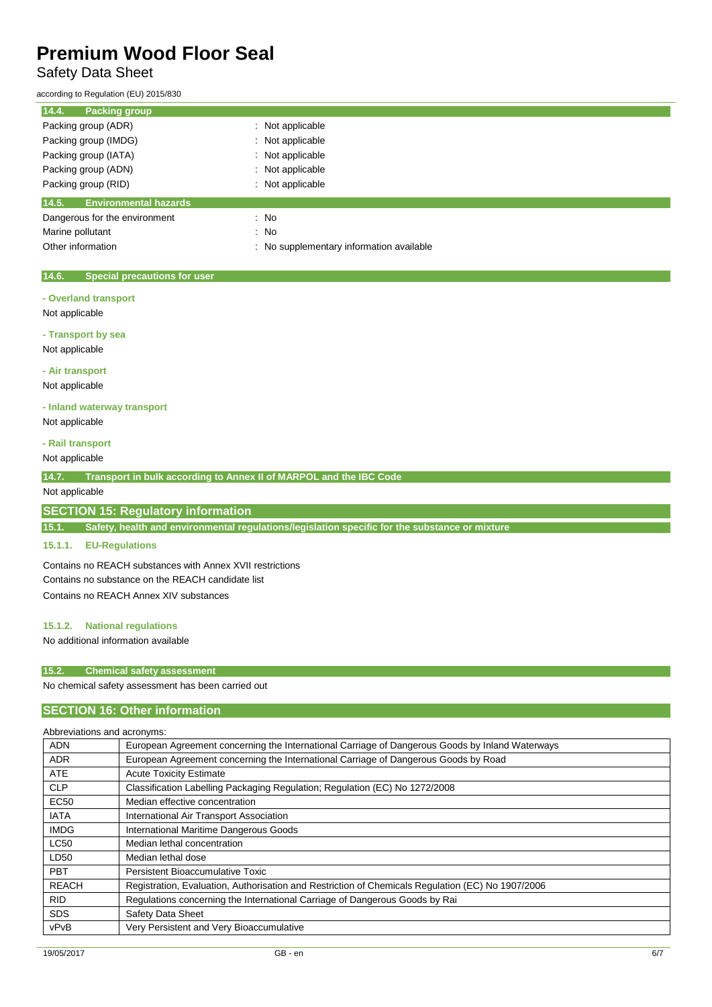## Safety Data Sheet

according to Regulation (EU) 2015/830

| 14.4.<br><b>Packing group</b>         |                                          |
|---------------------------------------|------------------------------------------|
| Packing group (ADR)                   | : Not applicable                         |
| Packing group (IMDG)                  | : Not applicable                         |
| Packing group (IATA)                  | : Not applicable                         |
| Packing group (ADN)                   | : Not applicable                         |
| Packing group (RID)                   | : Not applicable                         |
| 14.5.<br><b>Environmental hazards</b> |                                          |
| Dangerous for the environment         | : No                                     |
| Marine pollutant                      | : No                                     |
| Other information                     | : No supplementary information available |

### **14.6. Special precautions for user**

- **- Overland transport**
- Not applicable

**- Transport by sea** Not applicable

### **- Air transport**

Not applicable

### **- Inland waterway transport**

Not applicable

### **- Rail transport**

Not applicable

**14.7. Transport in bulk according to Annex II of MARPOL and the IBC Code**

### Not applicable

### **SECTION 15: Regulatory information**

**15.1. Safety, health and environmental regulations/legislation specific for the substance or mixture**

### **15.1.1. EU-Regulations**

Contains no REACH substances with Annex XVII restrictions Contains no substance on the REACH candidate list Contains no REACH Annex XIV substances

### **15.1.2. National regulations**

No additional information available

### **15.2. Chemical safety assessment**

No chemical safety assessment has been carried out

### **SECTION 16: Other information**

| Abbreviations and acronyms: |                                                                                                   |
|-----------------------------|---------------------------------------------------------------------------------------------------|
| <b>ADN</b>                  | European Agreement concerning the International Carriage of Dangerous Goods by Inland Waterways   |
| <b>ADR</b>                  | European Agreement concerning the International Carriage of Dangerous Goods by Road               |
| <b>ATE</b>                  | <b>Acute Toxicity Estimate</b>                                                                    |
| <b>CLP</b>                  | Classification Labelling Packaging Regulation; Regulation (EC) No 1272/2008                       |
| <b>EC50</b>                 | Median effective concentration                                                                    |
| <b>IATA</b>                 | International Air Transport Association                                                           |
| <b>IMDG</b>                 | International Maritime Dangerous Goods                                                            |
| <b>LC50</b>                 | Median lethal concentration                                                                       |
| LD50                        | Median lethal dose                                                                                |
| <b>PBT</b>                  | Persistent Bioaccumulative Toxic                                                                  |
| <b>REACH</b>                | Registration, Evaluation, Authorisation and Restriction of Chemicals Regulation (EC) No 1907/2006 |
| <b>RID</b>                  | Regulations concerning the International Carriage of Dangerous Goods by Rai                       |
| <b>SDS</b>                  | Safety Data Sheet                                                                                 |
| vPvB                        | Very Persistent and Very Bioaccumulative                                                          |